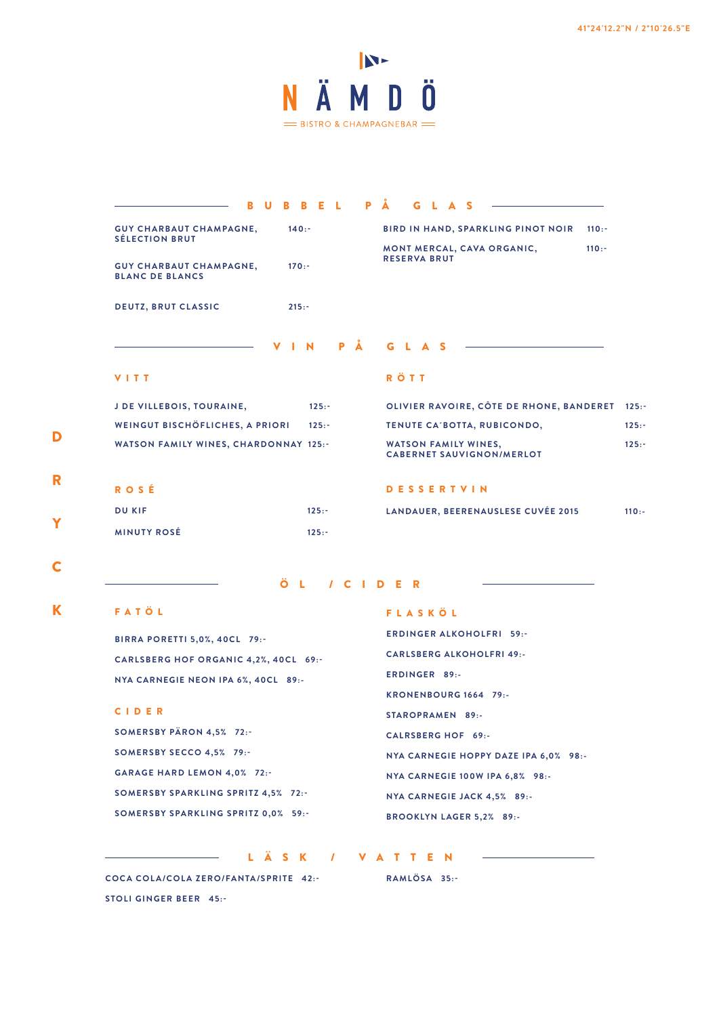

| R.                                                                                            | u |                                                                 |                             |          | <b>B B E L</b> |           | <b>PÅ</b><br>G L A S                                  |          |
|-----------------------------------------------------------------------------------------------|---|-----------------------------------------------------------------|-----------------------------|----------|----------------|-----------|-------------------------------------------------------|----------|
| <b>GUY CHARBAUT CHAMPAGNE,</b>                                                                |   |                                                                 | 140:                        |          |                |           | <b>BIRD IN HAND, SPARKLING PINOT NOIR</b><br>$110: -$ |          |
| <b>SÉLECTION BRUT</b><br>$170: -$<br><b>GUY CHARBAUT CHAMPAGNE,</b><br><b>BLANC DE BLANCS</b> |   | MONT MERCAL, CAVA ORGANIC,<br>$110: -$<br><b>RESERVA BRUT</b>   |                             |          |                |           |                                                       |          |
| <b>DEUTZ, BRUT CLASSIC</b>                                                                    |   |                                                                 | $215: -$                    |          |                |           |                                                       |          |
|                                                                                               |   |                                                                 | V I N                       |          |                | <b>PÅ</b> | G L A S                                               |          |
| VITT                                                                                          |   |                                                                 |                             |          |                |           | <b>RÖTT</b>                                           |          |
| <b>J DE VILLEBOIS, TOURAINE,</b>                                                              |   |                                                                 |                             | $125: -$ |                |           | OLIVIER RAVOIRE, CÔTE DE RHONE, BANDERET              | $125: -$ |
| WEINGUT BISCHÖFLICHES, A PRIORI<br>$125: -$                                                   |   |                                                                 | TENUTE CA'BOTTA, RUBICONDO, |          |                |           |                                                       |          |
| <b>WATSON FAMILY WINES, CHARDONNAY 125:-</b>                                                  |   | <b>WATSON FAMILY WINES,</b><br><b>CABERNET SAUVIGNON/MERLOT</b> |                             |          |                |           |                                                       |          |
| ROSÉ                                                                                          |   |                                                                 |                             |          |                |           | <b>DESSERTVIN</b>                                     |          |
| <b>DU KIF</b>                                                                                 |   |                                                                 |                             | $125: -$ |                |           | LANDAUER, BEERENAUSLESE CUVÉE 2015                    | $110: -$ |
|                                                                                               |   |                                                                 |                             |          |                |           |                                                       |          |

C

D

R

Y

ÖL /CIDER

LÄSK / VATTEN

# K FATÖL

**BIRRA PORETTI 5,0%, 40CL 79:- CARLSBERG HOF ORGANIC 4,2%, 40CL 69:- NYA CARNEGIE NEON IPA 6%, 40CL 89:-**

#### CIDER

**SOMERSBY PÄRON 4,5% 72:- SOMERSBY SECCO 4,5% 79:- GARAGE HARD LEMON 4,0% 72:- SOMERSBY SPARKLING SPRITZ 4,5% 72:- SOMERSBY SPARKLING SPRITZ 0,0% 59:-**

# FLASKÖL

**ERDINGER ALKOHOLFRI 59:- CARLSBERG ALKOHOLFRI 49:- ERDINGER 89:- KRONENBOURG 1664 79:- STAROPRAMEN 89:- CALRSBERG HOF 69:- NYA CARNEGIE HOPPY DAZE IPA 6,0% 98:- NYA CARNEGIE 100W IPA 6,8% 98:- NYA CARNEGIE JACK 4,5% 89:- BROOKLYN LAGER 5,2% 89:-**

**COCA COLA/COLA ZERO/FANTA/SPRITE 42:- STOLI GINGER BEER 45:-**

**RAMLÖSA 35:-**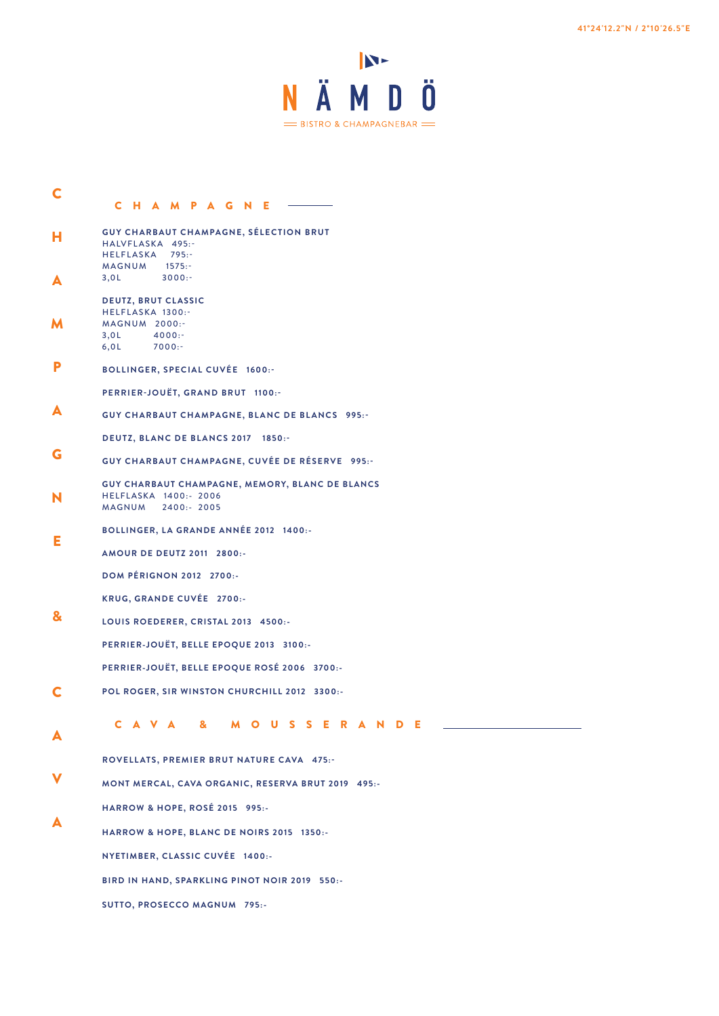

- CHAMPAGNE C A V A & M O U S S E R A N D E **GUY CHARBAUT CHAMPAGNE, SÉLECTION BRUT** HALVFLASKA 495:-HELFLASKA 795:- MAGNUM 1575:- 3,0L 3000:- **DEUTZ, BRUT CLASSIC** HELFLASKA 1300:- MAGNUM 2000:-<br>3,0L 4000:- $4000:$ 6,0L 7000:- **BOLLINGER, SPECIAL CUVÉE 1600:- PERRIER-JOUËT, GRAND BRUT 1100:- GUY CHARBAUT CHAMPAGNE, BLANC DE BLANCS 995:- DEUTZ, BLANC DE BLANCS 2017 1850:- GUY CHARBAUT CHAMPAGNE, CUVÉE DE RÉSERVE 995:- GUY CHARBAUT CHAMPAGNE, MEMORY, BLANC DE BLANCS** HELFLASKA 1400:- 2006 MAGNUM 2400:- 2005 **BOLLINGER, LA GRANDE ANNÉE 2012 1400:- AMOUR DE DEUTZ 2011 2800:- DOM PÉRIGNON 2012 2700:- KRUG, GRANDE CUVÉE 2700:- LOUIS ROEDERER, CRISTAL 2013 4500:- PERRIER-JOUËT, BELLE EPOQUE 2013 3100:- PERRIER-JOUËT, BELLE EPOQUE ROSÉ 2006 3700:- POL ROGER, SIR WINSTON CHURCHILL 2012 3300:- ROVELLATS, PREMIER BRUT NATURE CAVA 475:- MONT MERCAL, CAVA ORGANIC, RESERVA BRUT 2019 495:- HARROW & HOPE, ROSÉ 2015 995:- HARROW & HOPE, BLANC DE NOIRS 2015 1350:- NYETIMBER, CLASSIC CUVÉE 1400:- BIRD IN HAND, SPARKLING PINOT NOIR 2019 550:-** C H A M P A G N E & C A V A
	- **SUTTO, PROSECCO MAGNUM 795:-**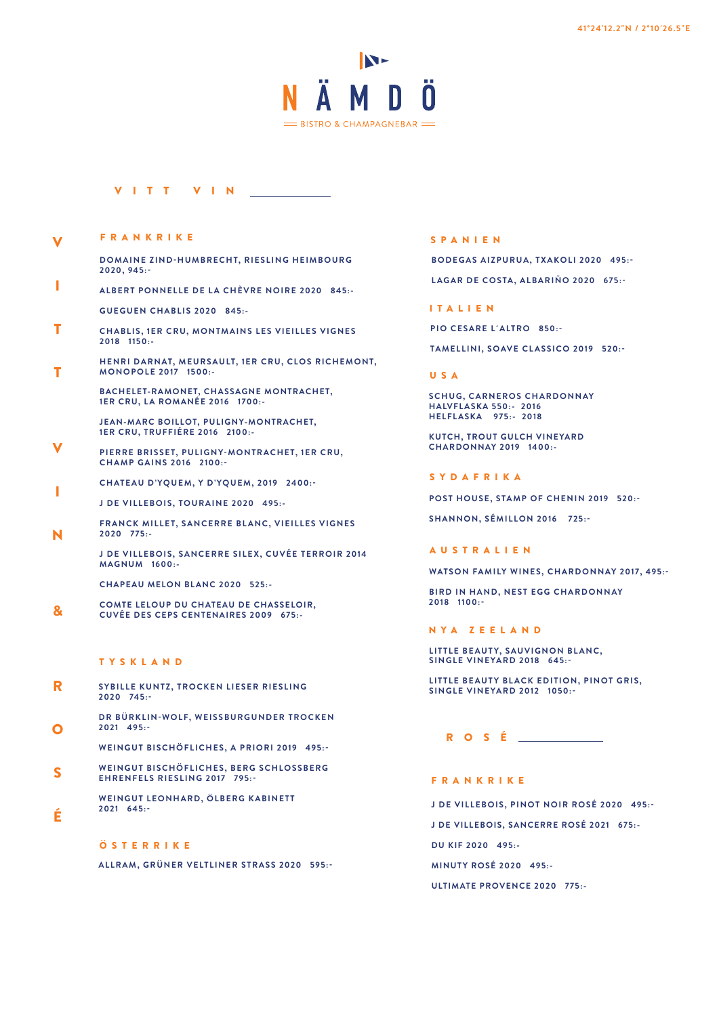

### VITT VIN

 $\overline{\mathbf{V}}$ FRANKRIKE

| DOMAINE ZIND-HUMBRECHT, RIESLING HEIMBOURG |  |
|--------------------------------------------|--|
| 2020, 945:                                 |  |

- **ALBERT PONNELLE DE LA CHÈVRE NOIRE 2020 845:- GUEGUEN CHABLIS 2020 845:-** I
- **CHABLIS, 1ER CRU, MONTMAINS LES VIEILLES VIGNES 2018 1150:-** T
- **HENRI DARNAT, MEURSAULT, 1ER CRU, CLOS RICHEMONT, MONOPOLE 2017 1500:-** T

**BACHELET-RAMONET, CHASSAGNE MONTRACHET, 1ER CRU, LA ROMANÉE 2016 1700:-**

**JEAN-MARC BOILLOT, PULIGNY-MONTRACHET, 1ER CRU, TRUFFIÉRE 2016 2100:-**

**PIERRE BRISSET, PULIGNY-MONTRACHET, 1ER CRU, CHAMP GAINS 2016 2100:-** V

**CHATEAU D'YQUEM, Y D'YQUEM, 2019 2400:-**

**J DE VILLEBOIS, TOURAINE 2020 495:-**

**FRANCK MILLET, SANCERRE BLANC, VIEILLES VIGNES 2020 775:-**

**J DE VILLEBOIS, SANCERRE SILEX, CUVÉE TERROIR 2014 MAGNUM 1600:-**

**CHAPEAU MELON BLANC 2020 525:-**

**COMTE LELOUP DU CHATEAU DE CHASSELOIR, CUVÉE DES CEPS CENTENAIRES 2009 675:-** &

#### TYSKLAND

I

N

É

- R **SYBILLE KUNTZ, TROCKEN LIESER RIESLING 2020 745:-**
- O **DR BÜRKLIN-WOLF, WEISSBURGUNDER TROCKEN 2021 495:-**

**WEINGUT BISCHÖFLICHES, A PRIORI 2019 495:-**

S **WEINGUT BISCHÖFLICHES, BERG SCHLOSSBERG EHRENFELS RIESLING 2017 795:-**

> WEINGUT LEONHARD, ÖLBERG KABINETT **2021 645:-**

#### ÖSTERRIKE

**ALLRAM, GRÜNER VELTLINER STRASS 2020 595:-**

#### SPANIEN

**BODEGAS AIZPURUA, TXAKOLI 2020 495:- LAGAR DE COSTA, ALBARIÑO 2020 675:-**

#### ITALIEN

**PIO CESARE L´ALTRO 850:-**

**TAMELLINI, SOAVE CLASSICO 2019 520:-**

#### USA

**SCHUG, CARNEROS CHARDONNAY HALVFL ASKA 550:- 2016 HELFLASKA 975:- 2018**

**KUTCH, TROUT GULCH VINEYARD CHARDONNAY 2019 1400:-**

#### SYDAFRIKA

**POST HOUSE, STAMP OF CHENIN 2019 520:-**

**SHANNON, SÉMILLON 2016 725:-**

#### AUSTRALIEN

**WATSON FAMILY WINES, CHARDONNAY 2017, 495:-**

**BIRD IN HAND, NEST EGG CHARDONNAY 2018 1100:-**

#### NYA ZEELAND

**LITTLE BEAUTY, SAUVIGNON BLANC, SINGLE VINEYARD 2018 645:-**

**LITTLE BEAUTY BLACK EDITION, PINOT GRIS, SINGLE VINEYARD 2012 1050:-**

## ROSÉ

#### FRANKRIKE

**J DE VILLEBOIS, PINOT NOIR ROSÉ 2020 495:-**

**J DE VILLEBOIS, SANCERRE ROSÉ 2021 675:-**

**DU KIF 2020 495:-**

**MINUTY ROSÉ 2020 495:-**

**ULTIMATE PROVENCE 2020 775:-**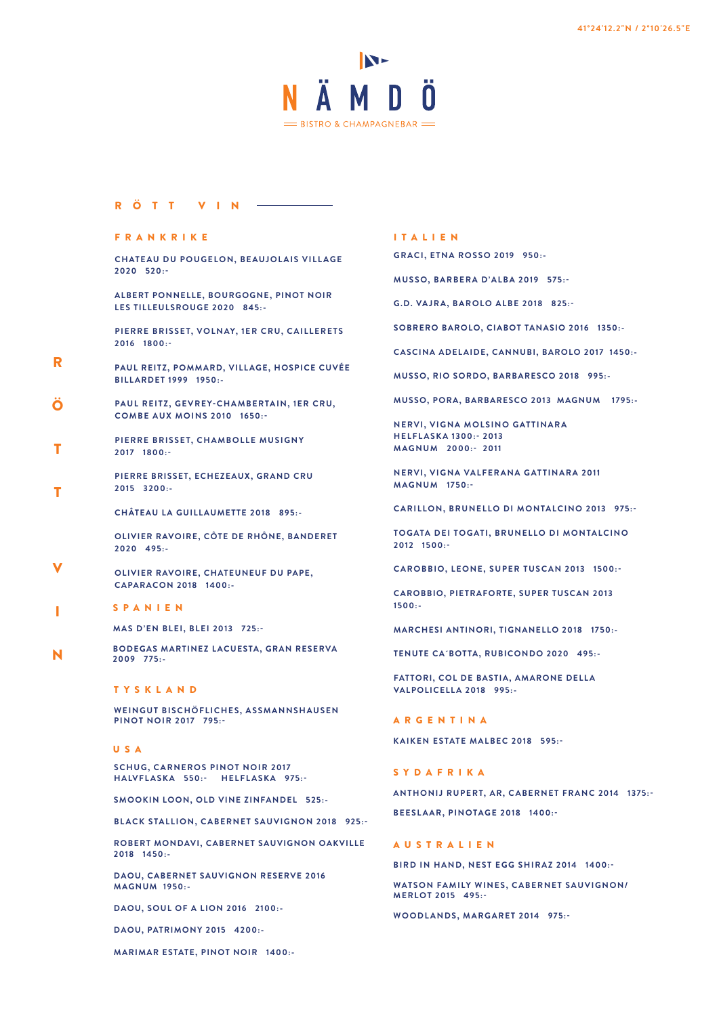

## RÖTT VIN

#### FRANKRIKE

**CHATEAU DU POUGELON, BEAUJOLAIS VILLAGE 2020 520:-**

**ALBERT PONNELLE, BOURGOGNE, PINOT NOIR LES TILLEULSROUGE 2020 845:-**

**PIERRE BRISSET, VOLNAY, 1ER CRU, CAILLERETS 2016 1800:-**

- **PAUL REITZ, POMMARD, VILLAGE, HOSPICE CUVÉE BILLARDET 1999 1950:-** R
- **PAUL REITZ, GEVREY-CHAMBERTAIN, 1ER CRU, COMBE AUX MOINS 2010 1650:-** Ö
- **PIERRE BRISSET, CHAMBOLLE MUSIGNY 2017 1800:-** T

**PIERRE BRISSET, ECHEZEAUX, GRAND CRU 2015 3200:-**

**CHÂTEAU LA GUILLAUMETTE 2018 895:-**

**OLIVIER RAVOIRE, CÔTE DE RHÔNE, BANDERET 2020 495:-**

- **OLIVIER RAVOIRE, CHATEUNEUF DU PAPE, CAPARACON 2018 1400:-** V
- SPANIEN I

T

**MAS D'EN BLEI, BLEI 2013 725:-**

**BODEGAS MARTINEZ L ACUESTA, GRAN RESERVA 2009 775:-** N

#### TYSKLAND

**WEINGUT BISCHÖFLICHES, ASSMANNSHAUSEN PINOT NOIR 2017 795:-**

USA

**SCHUG, CARNEROS PINOT NOIR 2017 HALVFL ASKA 550:- HELFL ASKA 975:-**

**SMOOKIN LOON, OLD VINE ZINFANDEL 525:-**

**BLACK STALLION, CABERNET SAUVIGNON 2018 925:-**

**ROBERT MONDAVI, CABERNET SAUVIGNON OAKVILLE 2018 1450:-**

**DAOU, CABERNET SAUVIGNON RESERVE 2016 MAGNUM 1950:-**

**DAOU, SOUL OF A LION 2016 2100:-**

**DAOU, PATRIMONY 2015 4200:-**

**MARIMAR ESTATE, PINOT NOIR 1400:-**

#### ITALIEN

**GRACI, ETNA ROSSO 2019 950:-**

**MUSSO, BARBERA D'ALBA 2019 575:-**

**G.D. VAJRA, BAROLO ALBE 2018 825:-**

**SOBRERO BAROLO, CIABOT TANASIO 2016 1350:-**

**CASCINA ADELAIDE, CANNUBI, BAROLO 2017 1450:-**

**MUSSO, RIO SORDO, BARBARESCO 2018 995:-**

**MUSSO, PORA, BARBARESCO 2013 MAGNUM 1795:-**

**NERVI, VIGNA MOLSINO GATTINARA HELFLASKA 1300:- 2013 MAGNUM 2000:- 2011**

**NERVI, VIGNA VALFERANA GATTINARA 2011 MAGNUM 1750:-**

**CARILLON, BRUNELLO DI MONTALCINO 2013 975:-**

**TOGATA DEI TOGATI, BRUNELLO DI MONTALCINO 2012 1500:-**

**CAROBBIO, LEONE, SUPER TUSCAN 2013 1500:-**

**CAROBBIO, PIETRAFORTE, SUPER TUSCAN 2013 1500:-**

**MARCHESI ANTINORI, TIGNANELLO 2018 1750:-**

**TENUTE CA´BOTTA, RUBICONDO 2020 495:-**

**FATTORI, COL DE BASTIA, AMARONE DELLA VALPOLICELLA 2018 995:-**

ARGENTINA

**KAIKEN ESTATE MALBEC 2018 595:-**

SYDAFRIKA

**ANTHONIJ RUPERT, AR, CABERNET FRANC 2014 1375:- BEESLAAR, PINOTAGE 2018 1400:-**

#### AUSTRALIEN

**BIRD IN HAND, NEST EGG SHIRAZ 2014 1400:-**

**WATSON FAMILY WINES, CABERNET SAUVIGNON/ MERLOT 2015 495:-**

**WOODLANDS, MARGARET 2014 975:-**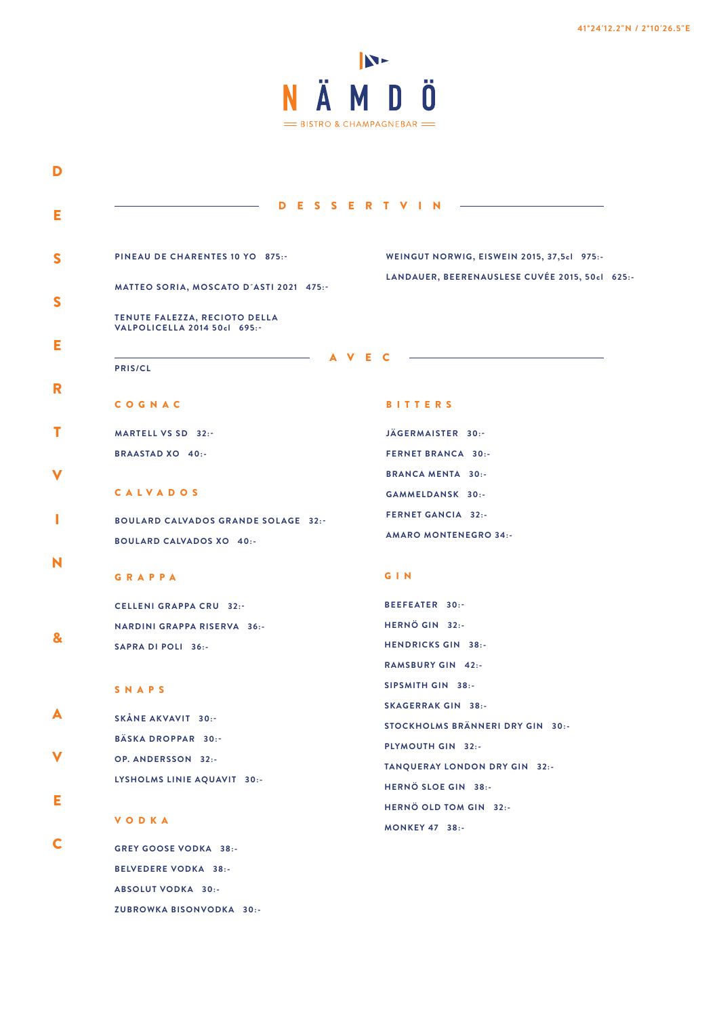

| D                                                             | ESSERTVIN                                                                                    |  |  |  |
|---------------------------------------------------------------|----------------------------------------------------------------------------------------------|--|--|--|
| PINEAU DE CHARENTES 10 YO 875:-                               | WEINGUT NORWIG, EISWEIN 2015, 37,5cl 975:-<br>LANDAUER, BEERENAUSLESE CUVÉE 2015, 50cl 625:- |  |  |  |
| MATTEO SORIA, MOSCATO D'ASTI 2021 475.-                       |                                                                                              |  |  |  |
| TENUTE FALEZZA, RECIOTO DELLA<br>VALPOLICELLA 2014 50cl 695:- |                                                                                              |  |  |  |
| A<br>PRIS/CL                                                  | - C<br>Е.                                                                                    |  |  |  |
| COGNAC                                                        | <b>BITTERS</b>                                                                               |  |  |  |
| MARTELL VS SD 32:-                                            | JÄGERMAISTER 30:-                                                                            |  |  |  |
| <b>BRAASTAD XO 40:-</b>                                       | <b>FERNET BRANCA 30:-</b>                                                                    |  |  |  |
|                                                               | <b>BRANCA MENTA 30:-</b>                                                                     |  |  |  |
| <b>CALVADOS</b>                                               | GAMMELDANSK 30:-                                                                             |  |  |  |
|                                                               | <b>FERNET GANCIA 32:-</b>                                                                    |  |  |  |
| <b>BOULARD CALVADOS GRANDE SOLAGE 32:-</b>                    | <b>AMARO MONTENEGRO 34:-</b>                                                                 |  |  |  |
| <b>BOULARD CALVADOS XO 40:-</b>                               |                                                                                              |  |  |  |
| <b>GRAPPA</b>                                                 | <b>GIN</b>                                                                                   |  |  |  |
| <b>CELLENI GRAPPA CRU 32:-</b>                                | BEEFEATER 30:-                                                                               |  |  |  |
| <b>NARDINI GRAPPA RISERVA 36:-</b>                            | HERNÖ GIN 32:-                                                                               |  |  |  |
| SAPRA DI POLI 36:-                                            | <b>HENDRICKS GIN 38:-</b>                                                                    |  |  |  |
|                                                               | <b>RAMSBURY GIN 42:-</b>                                                                     |  |  |  |
| SNAPS                                                         | SIPSMITH GIN 38:-                                                                            |  |  |  |
| SKÅNE AKVAVIT 30:-                                            | <b>SKAGERRAK GIN 38:-</b>                                                                    |  |  |  |
| BÄSKA DROPPAR 30:-                                            | STOCKHOLMS BRÄNNERI DRY GIN 30:-                                                             |  |  |  |
| OP. ANDERSSON 32:-                                            | PLYMOUTH GIN 32:-                                                                            |  |  |  |
| LYSHOLMS LINIE AQUAVIT 30:-                                   | TANQUERAY LONDON DRY GIN 32:-                                                                |  |  |  |
|                                                               | HERNÖ SLOE GIN 38:-                                                                          |  |  |  |
| <b>VODKA</b>                                                  | HERNÖ OLD TOM GIN 32:-<br><b>MONKEY 47 38:-</b>                                              |  |  |  |
| <b>GREY GOOSE VODKA 38:-</b>                                  |                                                                                              |  |  |  |
| <b>BELVEDERE VODKA 38:-</b>                                   |                                                                                              |  |  |  |
| ABSOLUT VODKA 30:-                                            |                                                                                              |  |  |  |